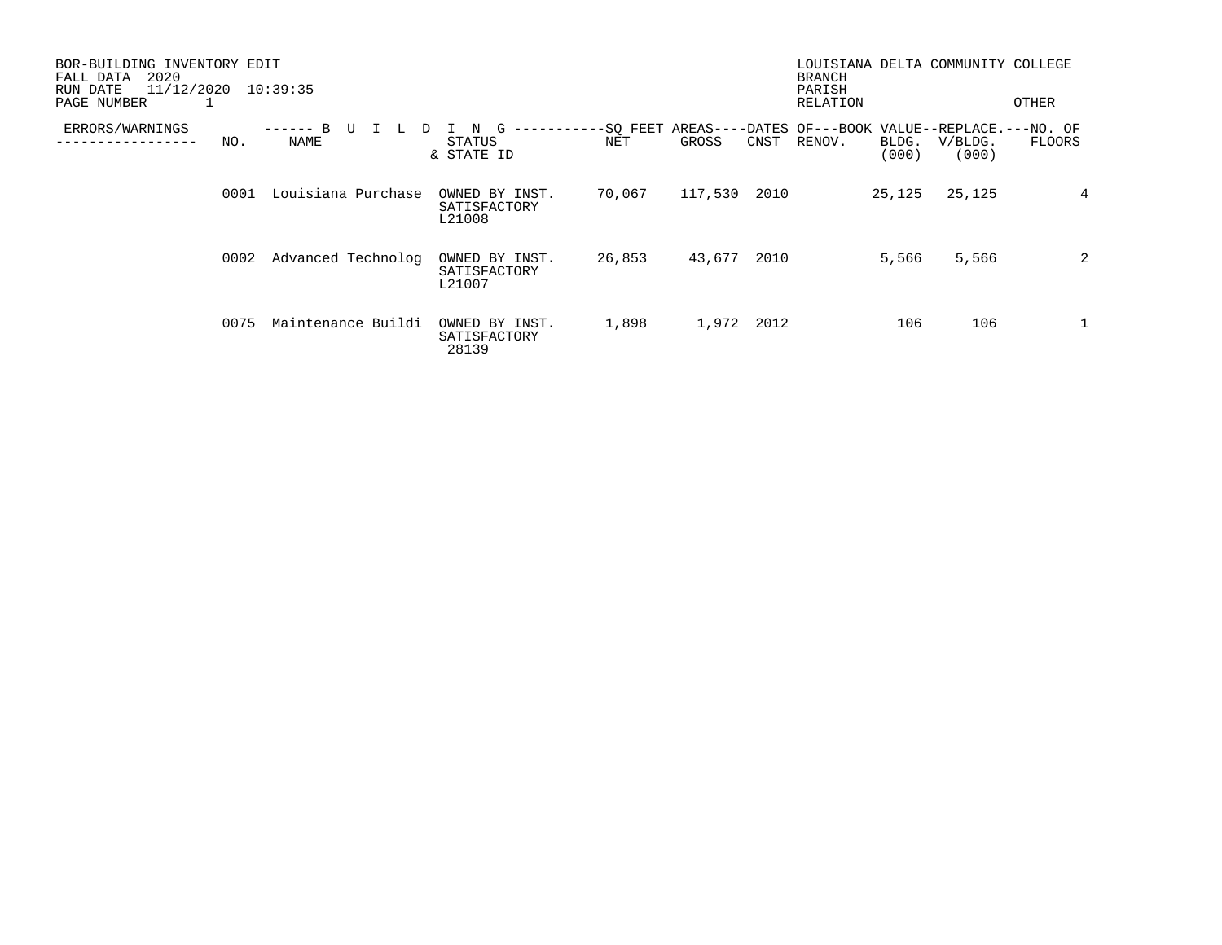| BOR-BUILDING INVENTORY EDIT<br>2020<br>FALL DATA<br>11/12/2020<br>RUN DATE<br>PAGE NUMBER<br>1 |      | 10:39:35           |                                          |                 |         |      | <b>BRANCH</b><br>PARISH<br>RELATION                         |                | LOUISIANA DELTA COMMUNITY COLLEGE | OTHER  |
|------------------------------------------------------------------------------------------------|------|--------------------|------------------------------------------|-----------------|---------|------|-------------------------------------------------------------|----------------|-----------------------------------|--------|
| ERRORS/WARNINGS                                                                                | NO.  | NAME               | G<br>STATUS<br>& STATE ID                | -SQ FEET<br>NET | GROSS   | CNST | AREAS----DATES OF---BOOK VALUE--REPLACE.---NO. OF<br>RENOV. | BLDG.<br>(000) | V/BLDG.<br>(000)                  | FLOORS |
|                                                                                                | 0001 | Louisiana Purchase | OWNED BY INST.<br>SATISFACTORY<br>L21008 | 70,067          | 117,530 | 2010 |                                                             | 25,125         | 25,125                            | 4      |
|                                                                                                | 0002 | Advanced Technolog | OWNED BY INST.<br>SATISFACTORY<br>L21007 | 26,853          | 43,677  | 2010 |                                                             | 5,566          | 5,566                             | 2      |
|                                                                                                | 0075 | Maintenance Buildi | OWNED BY INST.<br>SATISFACTORY<br>28139  | 1,898           | 1,972   | 2012 |                                                             | 106            | 106                               | 1      |